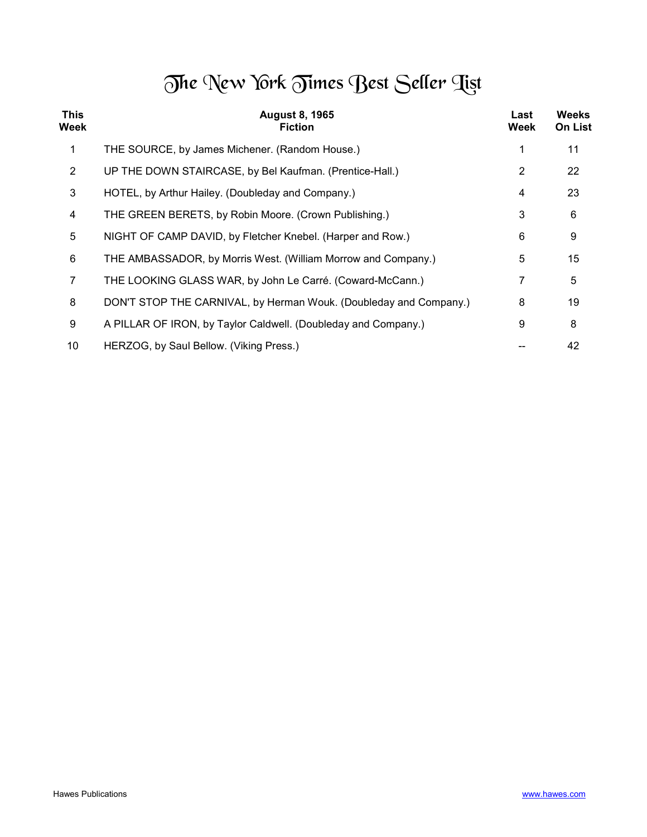## The New York Times Best Seller Tist

| <b>This</b><br>Week | <b>August 8, 1965</b><br><b>Fiction</b>                           | Last<br>Week   | <b>Weeks</b><br><b>On List</b> |
|---------------------|-------------------------------------------------------------------|----------------|--------------------------------|
| 1                   | THE SOURCE, by James Michener. (Random House.)                    |                | 11                             |
| $\overline{2}$      | UP THE DOWN STAIRCASE, by Bel Kaufman. (Prentice-Hall.)           | $\overline{2}$ | 22                             |
| 3                   | HOTEL, by Arthur Hailey. (Doubleday and Company.)                 | 4              | 23                             |
| 4                   | THE GREEN BERETS, by Robin Moore. (Crown Publishing.)             | 3              | 6                              |
| 5                   | NIGHT OF CAMP DAVID, by Fletcher Knebel. (Harper and Row.)        | 6              | 9                              |
| 6                   | THE AMBASSADOR, by Morris West. (William Morrow and Company.)     | 5              | 15                             |
| 7                   | THE LOOKING GLASS WAR, by John Le Carré. (Coward-McCann.)         | 7              | 5                              |
| 8                   | DON'T STOP THE CARNIVAL, by Herman Wouk. (Doubleday and Company.) | 8              | 19                             |
| 9                   | A PILLAR OF IRON, by Taylor Caldwell. (Doubleday and Company.)    | 9              | 8                              |
| 10                  | HERZOG, by Saul Bellow. (Viking Press.)                           |                | 42                             |